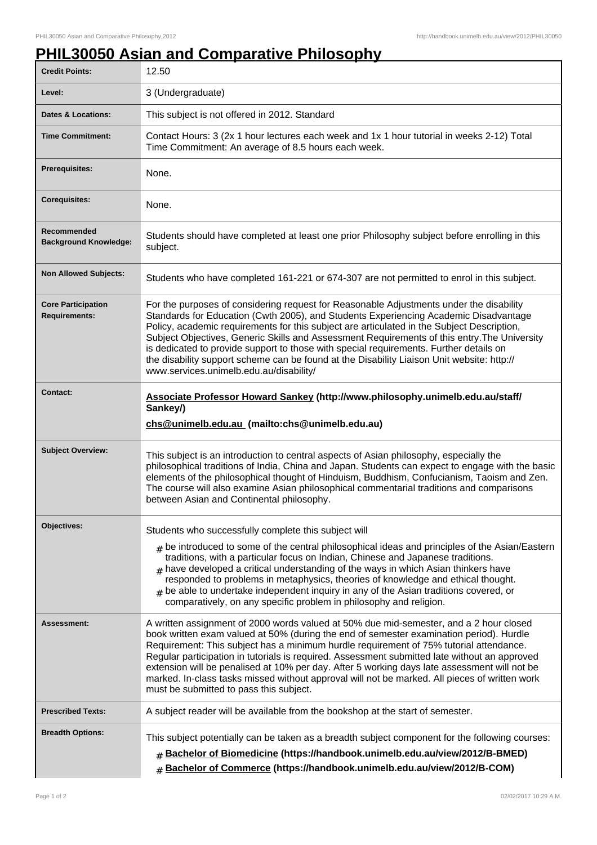## **PHIL30050 Asian and Comparative Philosophy**

| <b>Credit Points:</b>                             | 12.50                                                                                                                                                                                                                                                                                                                                                                                                                                                                                                                                                                                                                    |
|---------------------------------------------------|--------------------------------------------------------------------------------------------------------------------------------------------------------------------------------------------------------------------------------------------------------------------------------------------------------------------------------------------------------------------------------------------------------------------------------------------------------------------------------------------------------------------------------------------------------------------------------------------------------------------------|
| Level:                                            | 3 (Undergraduate)                                                                                                                                                                                                                                                                                                                                                                                                                                                                                                                                                                                                        |
| Dates & Locations:                                | This subject is not offered in 2012. Standard                                                                                                                                                                                                                                                                                                                                                                                                                                                                                                                                                                            |
| <b>Time Commitment:</b>                           | Contact Hours: 3 (2x 1 hour lectures each week and 1x 1 hour tutorial in weeks 2-12) Total<br>Time Commitment: An average of 8.5 hours each week.                                                                                                                                                                                                                                                                                                                                                                                                                                                                        |
| <b>Prerequisites:</b>                             | None.                                                                                                                                                                                                                                                                                                                                                                                                                                                                                                                                                                                                                    |
| <b>Corequisites:</b>                              | None.                                                                                                                                                                                                                                                                                                                                                                                                                                                                                                                                                                                                                    |
| Recommended<br><b>Background Knowledge:</b>       | Students should have completed at least one prior Philosophy subject before enrolling in this<br>subject.                                                                                                                                                                                                                                                                                                                                                                                                                                                                                                                |
| <b>Non Allowed Subjects:</b>                      | Students who have completed 161-221 or 674-307 are not permitted to enrol in this subject.                                                                                                                                                                                                                                                                                                                                                                                                                                                                                                                               |
| <b>Core Participation</b><br><b>Requirements:</b> | For the purposes of considering request for Reasonable Adjustments under the disability<br>Standards for Education (Cwth 2005), and Students Experiencing Academic Disadvantage<br>Policy, academic requirements for this subject are articulated in the Subject Description,<br>Subject Objectives, Generic Skills and Assessment Requirements of this entry. The University<br>is dedicated to provide support to those with special requirements. Further details on<br>the disability support scheme can be found at the Disability Liaison Unit website: http://<br>www.services.unimelb.edu.au/disability/         |
| <b>Contact:</b>                                   | Associate Professor Howard Sankey (http://www.philosophy.unimelb.edu.au/staff/<br>Sankey/)<br>chs@unimelb.edu.au (mailto:chs@unimelb.edu.au)                                                                                                                                                                                                                                                                                                                                                                                                                                                                             |
| <b>Subject Overview:</b>                          | This subject is an introduction to central aspects of Asian philosophy, especially the                                                                                                                                                                                                                                                                                                                                                                                                                                                                                                                                   |
|                                                   | philosophical traditions of India, China and Japan. Students can expect to engage with the basic<br>elements of the philosophical thought of Hinduism, Buddhism, Confucianism, Taoism and Zen.<br>The course will also examine Asian philosophical commentarial traditions and comparisons<br>between Asian and Continental philosophy.                                                                                                                                                                                                                                                                                  |
| Objectives:                                       | Students who successfully complete this subject will<br>$_{\#}$ be introduced to some of the central philosophical ideas and principles of the Asian/Eastern<br>traditions, with a particular focus on Indian, Chinese and Japanese traditions.<br>have developed a critical understanding of the ways in which Asian thinkers have<br>#<br>responded to problems in metaphysics, theories of knowledge and ethical thought.<br>$_{\text{\#}}$ be able to undertake independent inquiry in any of the Asian traditions covered, or<br>comparatively, on any specific problem in philosophy and religion.                 |
| Assessment:                                       | A written assignment of 2000 words valued at 50% due mid-semester, and a 2 hour closed<br>book written exam valued at 50% (during the end of semester examination period). Hurdle<br>Requirement: This subject has a minimum hurdle requirement of 75% tutorial attendance.<br>Regular participation in tutorials is required. Assessment submitted late without an approved<br>extension will be penalised at 10% per day. After 5 working days late assessment will not be<br>marked. In-class tasks missed without approval will not be marked. All pieces of written work<br>must be submitted to pass this subject. |
| <b>Prescribed Texts:</b>                          | A subject reader will be available from the bookshop at the start of semester.                                                                                                                                                                                                                                                                                                                                                                                                                                                                                                                                           |